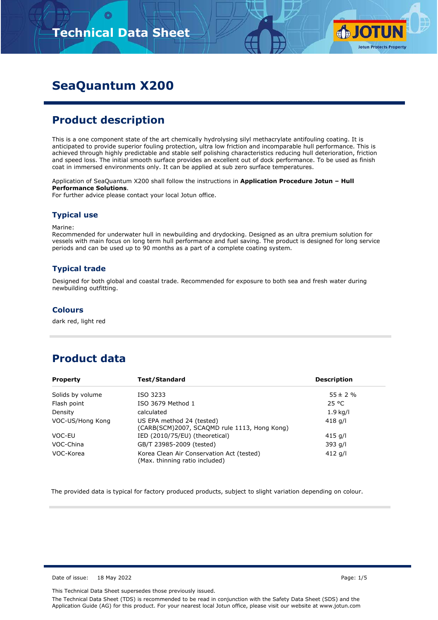

# **SeaQuantum X200**

## **Product description**

This is a one component state of the art chemically hydrolysing silyl methacrylate antifouling coating. It is anticipated to provide superior fouling protection, ultra low friction and incomparable hull performance. This is achieved through highly predictable and stable self polishing characteristics reducing hull deterioration, friction and speed loss. The initial smooth surface provides an excellent out of dock performance. To be used as finish coat in immersed environments only. It can be applied at sub zero surface temperatures.

Application of SeaQuantum X200 shall follow the instructions in **Application Procedure Jotun – Hull Performance Solutions**.

For further advice please contact your local Jotun office.

#### **Typical use**

Marine:

Recommended for underwater hull in newbuilding and drydocking. Designed as an ultra premium solution for vessels with main focus on long term hull performance and fuel saving. The product is designed for long service periods and can be used up to 90 months as a part of a complete coating system.

#### **Typical trade**

Designed for both global and coastal trade. Recommended for exposure to both sea and fresh water during newbuilding outfitting.

#### **Colours**

dark red, light red

## **Product data**

| <b>Test/Standard</b><br><b>Property</b> |                                                                             | <b>Description</b> |  |  |
|-----------------------------------------|-----------------------------------------------------------------------------|--------------------|--|--|
| Solids by volume                        | ISO 3233                                                                    | $55 \pm 2 \%$      |  |  |
| Flash point                             | ISO 3679 Method 1                                                           | 25 °C              |  |  |
| Density                                 | calculated                                                                  | $1.9$ kg/l         |  |  |
| VOC-US/Hong Kong                        | US EPA method 24 (tested)<br>(CARB(SCM)2007, SCAQMD rule 1113, Hong Kong)   | 418 g/l            |  |  |
| VOC-EU                                  | IED (2010/75/EU) (theoretical)                                              | 415 g/l            |  |  |
| VOC-China                               | GB/T 23985-2009 (tested)                                                    | 393 g/l            |  |  |
| VOC-Korea                               | Korea Clean Air Conservation Act (tested)<br>(Max. thinning ratio included) | 412 g/l            |  |  |

The provided data is typical for factory produced products, subject to slight variation depending on colour.

Date of issue: 18 May 2022 **Page: 1/5**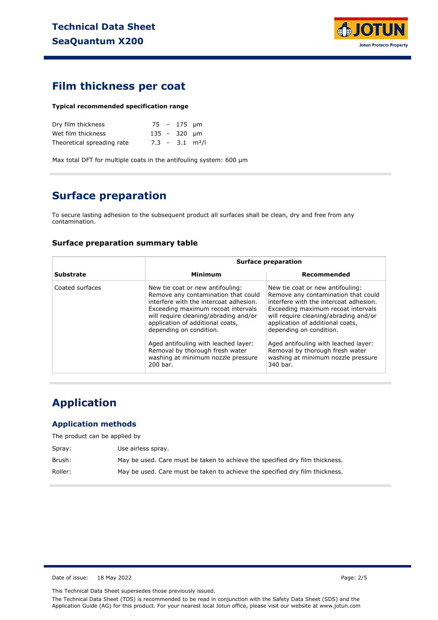

### **Film thickness per coat**

#### **Typical recommended specification range**

| Dry film thickness         |  | 75 - 175 µm  |                               |
|----------------------------|--|--------------|-------------------------------|
| Wet film thickness         |  | 135 - 320 µm |                               |
| Theoretical spreading rate |  |              | $7.3 - 3.1$ m <sup>2</sup> /l |

Max total DFT for multiple coats in the antifouling system: 600 µm

## **Surface preparation**

To secure lasting adhesion to the subsequent product all surfaces shall be clean, dry and free from any contamination.

#### **Surface preparation summary table**

|                  |                                                                                                                                                                                                                                                                                                         | <b>Surface preparation</b>                                                                                                                                                                                                                                                                              |  |  |  |
|------------------|---------------------------------------------------------------------------------------------------------------------------------------------------------------------------------------------------------------------------------------------------------------------------------------------------------|---------------------------------------------------------------------------------------------------------------------------------------------------------------------------------------------------------------------------------------------------------------------------------------------------------|--|--|--|
| <b>Substrate</b> | Minimum                                                                                                                                                                                                                                                                                                 | Recommended                                                                                                                                                                                                                                                                                             |  |  |  |
| Coated surfaces  | New tie coat or new antifouling:<br>Remove any contamination that could<br>interfere with the intercoat adhesion.<br>Exceeding maximum recoat intervals<br>will require cleaning/abrading and/or<br>application of additional coats,<br>depending on condition.<br>Aged antifouling with leached layer: | New tie coat or new antifouling:<br>Remove any contamination that could<br>interfere with the intercoat adhesion.<br>Exceeding maximum recoat intervals<br>will require cleaning/abrading and/or<br>application of additional coats,<br>depending on condition.<br>Aged antifouling with leached layer: |  |  |  |
|                  | Removal by thorough fresh water<br>washing at minimum nozzle pressure<br>200 bar.                                                                                                                                                                                                                       | Removal by thorough fresh water<br>washing at minimum nozzle pressure<br>340 bar.                                                                                                                                                                                                                       |  |  |  |

# **Application**

#### **Application methods**

The product can be applied by

| Spray:  | Use airless spray.                                                           |
|---------|------------------------------------------------------------------------------|
| Brush:  | May be used. Care must be taken to achieve the specified dry film thickness. |
| Roller: | May be used. Care must be taken to achieve the specified dry film thickness. |

Date of issue: 18 May 2022 **Page: 2/5** 

This Technical Data Sheet supersedes those previously issued.

The Technical Data Sheet (TDS) is recommended to be read in conjunction with the Safety Data Sheet (SDS) and the Application Guide (AG) for this product. For your nearest local Jotun office, please visit our website at www.jotun.com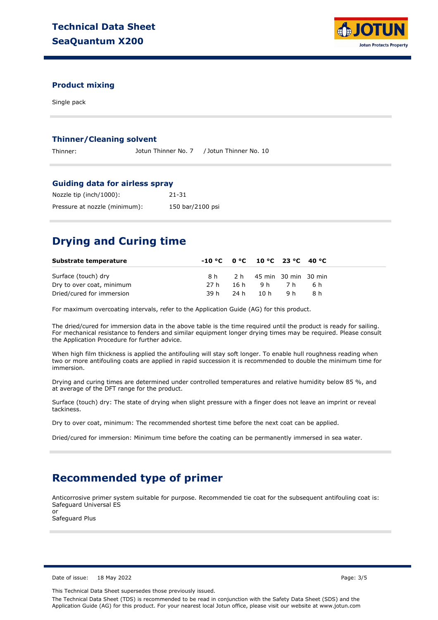

#### **Product mixing**

Single pack

#### **Thinner/Cleaning solvent**

Thinner: Jotun Thinner No. 7 / Jotun Thinner No. 10

#### **Guiding data for airless spray**

| Nozzle tip (inch/1000):       | 21-31            |
|-------------------------------|------------------|
| Pressure at nozzle (minimum): | 150 bar/2100 psi |

## **Drying and Curing time**

| Substrate temperature     |  | $-10 °C$ $0 °C$ $10 °C$ $23 °C$ $40 °C$ |       |
|---------------------------|--|-----------------------------------------|-------|
| Surface (touch) dry       |  | 8 h 2 h 45 min 30 min 30 min            |       |
| Dry to over coat, minimum |  | 27h 16h 9h 7h                           | - 6 h |
| Dried/cured for immersion |  | 39h 24h 10h 9h                          | -8 h  |

For maximum overcoating intervals, refer to the Application Guide (AG) for this product.

The dried/cured for immersion data in the above table is the time required until the product is ready for sailing. For mechanical resistance to fenders and similar equipment longer drying times may be required. Please consult the Application Procedure for further advice.

When high film thickness is applied the antifouling will stay soft longer. To enable hull roughness reading when two or more antifouling coats are applied in rapid succession it is recommended to double the minimum time for immersion.

Drying and curing times are determined under controlled temperatures and relative humidity below 85 %, and at average of the DFT range for the product.

Surface (touch) dry: The state of drying when slight pressure with a finger does not leave an imprint or reveal tackiness.

Dry to over coat, minimum: The recommended shortest time before the next coat can be applied.

Dried/cured for immersion: Minimum time before the coating can be permanently immersed in sea water.

## **Recommended type of primer**

Anticorrosive primer system suitable for purpose. Recommended tie coat for the subsequent antifouling coat is: Safeguard Universal ES

or Safeguard Plus

Date of issue: 18 May 2022 **Page: 3/5** 

This Technical Data Sheet supersedes those previously issued.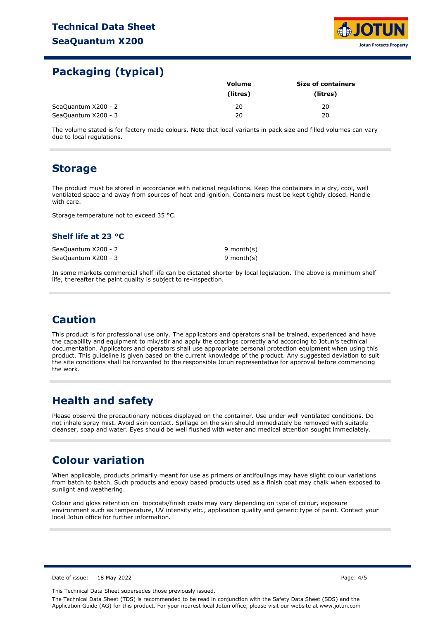

### **Packaging (typical)**

|                     | Volume   | <b>Size of containers</b> |  |  |
|---------------------|----------|---------------------------|--|--|
|                     | (litres) | (litres)                  |  |  |
| SeaQuantum X200 - 2 | 20       | 20                        |  |  |
| SeaQuantum X200 - 3 | 20       | 20                        |  |  |

The volume stated is for factory made colours. Note that local variants in pack size and filled volumes can vary due to local regulations.

### **Storage**

The product must be stored in accordance with national regulations. Keep the containers in a dry, cool, well ventilated space and away from sources of heat and ignition. Containers must be kept tightly closed. Handle with care.

Storage temperature not to exceed 35 °C.

#### **Shelf life at 23 °C**

SeaQuantum X200 - 2 SeaQuantum X200 - 3 9 month(s) 9 month(s)

In some markets commercial shelf life can be dictated shorter by local legislation. The above is minimum shelf life, thereafter the paint quality is subject to re-inspection.

## **Caution**

This product is for professional use only. The applicators and operators shall be trained, experienced and have the capability and equipment to mix/stir and apply the coatings correctly and according to Jotun's technical documentation. Applicators and operators shall use appropriate personal protection equipment when using this product. This guideline is given based on the current knowledge of the product. Any suggested deviation to suit the site conditions shall be forwarded to the responsible Jotun representative for approval before commencing the work.

### **Health and safety**

Please observe the precautionary notices displayed on the container. Use under well ventilated conditions. Do not inhale spray mist. Avoid skin contact. Spillage on the skin should immediately be removed with suitable cleanser, soap and water. Eyes should be well flushed with water and medical attention sought immediately.

### **Colour variation**

When applicable, products primarily meant for use as primers or antifoulings may have slight colour variations from batch to batch. Such products and epoxy based products used as a finish coat may chalk when exposed to sunlight and weathering.

Colour and gloss retention on topcoats/finish coats may vary depending on type of colour, exposure environment such as temperature, UV intensity etc., application quality and generic type of paint. Contact your local Jotun office for further information.

Date of issue: 18 May 2022 Page: 4/5

This Technical Data Sheet supersedes those previously issued.

The Technical Data Sheet (TDS) is recommended to be read in conjunction with the Safety Data Sheet (SDS) and the Application Guide (AG) for this product. For your nearest local Jotun office, please visit our website at www.jotun.com